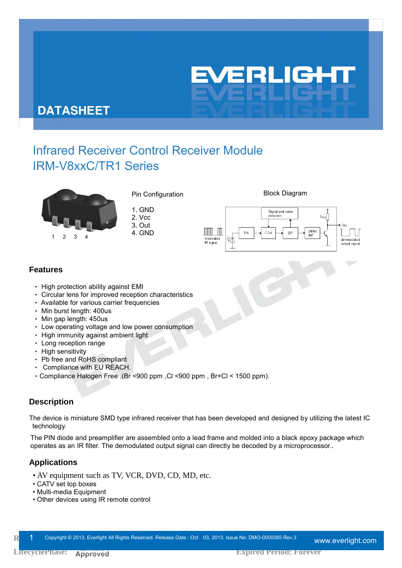

## **DATASHEET**

# Infrared Receiver Control Receiver Module IRM-V8xxC/TR1 Series



Pin Configuration **Block Diagram** 

1. GND 2. Vcc

3. Out



#### **Features**

- ‧ High protection ability against EMI
- ‧ Circular lens for improved reception characteristics
- Available for various carrier frequencies
- ‧ Min burst length: 400us
- ‧ Min gap length: 450us
- ‧ Low operating voltage and low power consumption
- ‧ High immunity against ambient light
- ‧ Long reception range
- High sensitivity
- ‧ Pb free and RoHS compliant
- ‧ Compliance with EU REACH.
- Compliance Halogen Free .(Br <900 ppm , Cl <900 ppm , Br+Cl < 1500 ppm).

### **Description**

The device is miniature SMD type infrared receiver that has been developed and designed by utilizing the latest IC technology.

The PIN diode and preamplifier are assembled onto a lead frame and molded into a black epoxy package which operates as an IR filter. The demodulated output signal can directly be decoded by a microprocessor..

### **Applications**

- AV equipment such as TV, VCR, DVD, CD, MD, etc.
- CATV set top boxes
- Multi-media Equipment
- Other devices using IR remote control

Revich 1 Copyright © 2013, Everlight All Rights Reserved. Release Date : Oct 03, 2013. Issue No: DMO-0000385 Rev.3 www.everlight.com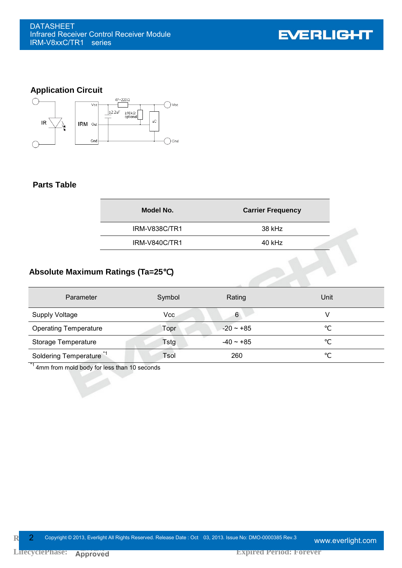**EVERLIGHT** 

## **Application Circuit**



#### **Parts Table**

| Model No.            | <b>Carrier Frequency</b> |  |
|----------------------|--------------------------|--|
| <b>IRM-V838C/TR1</b> | 38 kHz                   |  |
| <b>IRM-V840C/TR1</b> | 40 kHz                   |  |
|                      |                          |  |

## **Absolute Maximum Ratings (Ta=25**℃**)**

| Parameter                           | Symbol | Rating         | Unit |
|-------------------------------------|--------|----------------|------|
| <b>Supply Voltage</b>               | Vcc    | 6              |      |
| <b>Operating Temperature</b>        | Topr   | $-20 \sim +85$ |      |
| Storage Temperature                 | Tstg   | $-40 \sim +85$ |      |
| Soldering Temperature <sup>*1</sup> | Tsol   | 260            |      |

4mm from mold body for less than 10 seconds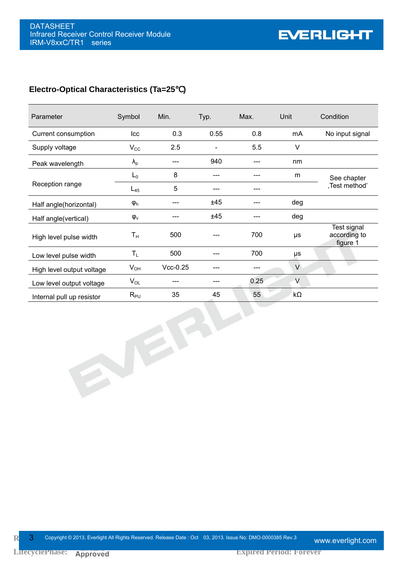#### **Electro-Optical Characteristics (Ta=25**℃**)**

| Parameter                 | Symbol        | Min.       | Typ. | Max. | Unit      | Condition                               |
|---------------------------|---------------|------------|------|------|-----------|-----------------------------------------|
| Current consumption       | Icc           | 0.3        | 0.55 | 0.8  | mA        | No input signal                         |
| Supply voltage            | $V_{\rm CC}$  | 2.5        |      | 5.5  | $\vee$    |                                         |
| Peak wavelength           | $\lambda_{p}$ |            | 940  |      | nm        |                                         |
| Reception range           | $L_0$         | 8          | ---  |      | m         | See chapter                             |
|                           | $L_{45}$      | 5          |      |      |           | ,Test method'                           |
| Half angle(horizontal)    | $\phi_h$      |            | ±45  |      | deg       |                                         |
| Half angle(vertical)      | $\phi_{v}$    |            | ±45  |      | deg       |                                         |
| High level pulse width    | $T_{\rm H}$   | 500        |      | 700  | μs        | Test signal<br>according to<br>figure 1 |
| Low level pulse width     | $T_{L}$       | 500        |      | 700  | μs        |                                         |
| High level output voltage | $V_{OH}$      | $Vcc-0.25$ |      |      | $\vee$    |                                         |
| Low level output voltage  | $V_{OL}$      |            |      | 0.25 | V         |                                         |
| Internal pull up resistor | $R_{PU}$      | 35         | 45   | 55   | $k\Omega$ |                                         |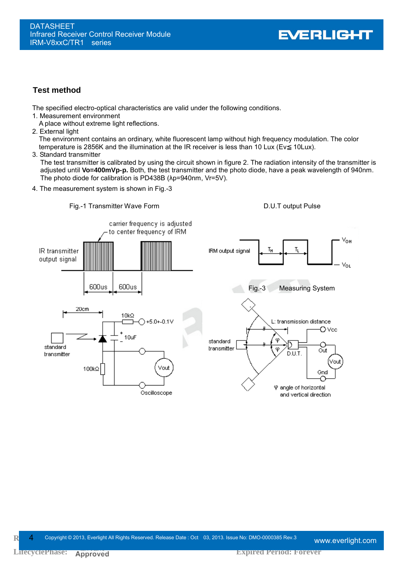#### **Test method**

The specified electro-optical characteristics are valid under the following conditions.

1. Measurement environment

A place without extreme light reflections.

2. External light

The environment contains an ordinary, white fluorescent lamp without high frequency modulation. The color temperature is 2856K and the illumination at the IR receiver is less than 10 Lux (Ev 10Lux).

#### 3. Standard transmitter

The test transmitter is calibrated by using the circuit shown in figure 2. The radiation intensity of the transmitter is adjusted until **Vo=400mVp-p.** Both, the test transmitter and the photo diode, have a peak wavelength of 940nm. The photo diode for calibration is PD438B (λp=940nm, Vr=5V).





**LifecyclePhase:** Approved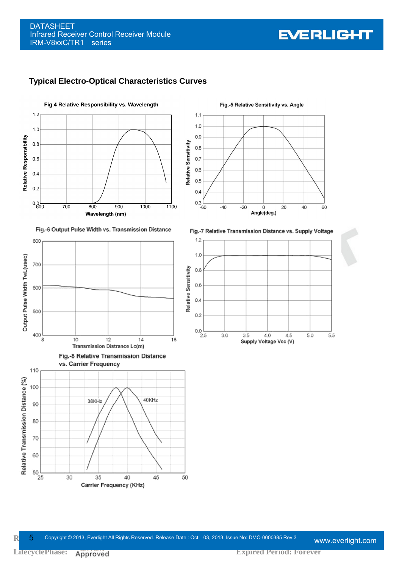

















Fig.-5 Relative Sensitivity vs. Angle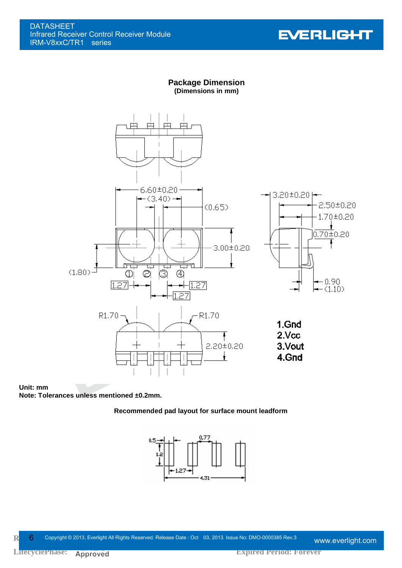

#### **Package Dimension (Dimensions in mm)**



#### **Unit: mm**

**Note: Tolerances unless mentioned ±0.2mm.** 

#### **Recommended pad layout for surface mount leadform**



Release Opyright © 2013, Everlight All Rights Reserved. Release Date : Oct 03, 2013. Issue No: DMO-0000385 Rev.3 www.everlight.com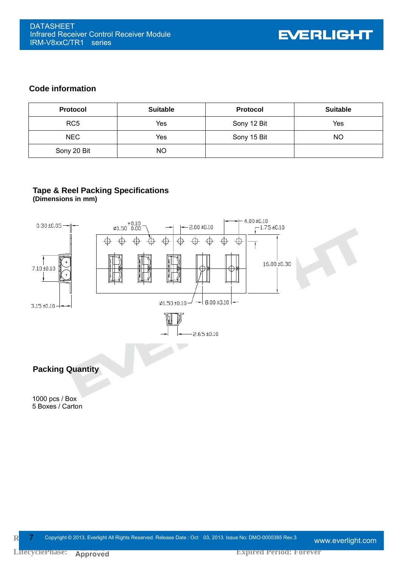#### **Code information**

| <b>Protocol</b> | <b>Suitable</b> | <b>Protocol</b> | <b>Suitable</b> |
|-----------------|-----------------|-----------------|-----------------|
| RC <sub>5</sub> | Yes             | Sony 12 Bit     | Yes             |
| <b>NEC</b>      | Yes             | Sony 15 Bit     | NΟ              |
| Sony 20 Bit     | NO.             |                 |                 |

#### **Tape & Reel Packing Specifications (Dimensions in mm)**

 $4.00 + 0.10$  $61.50 + 0.10$  $0.30 \pm 0.05$  $-1.75 \pm 0.10$  $2.00 + 0.10$ ↔  $\varphi$ </u> Ŧ 16.00 ±0.30 7.10 ±0.10  $-8.00 \pm 0.10$   $\varphi$ 1.50 ±0.10  $3.15 \pm 0.10 2.65 + 0.10$ **Packing Quantity** 1000 pcs / Box 5 Boxes / Carton